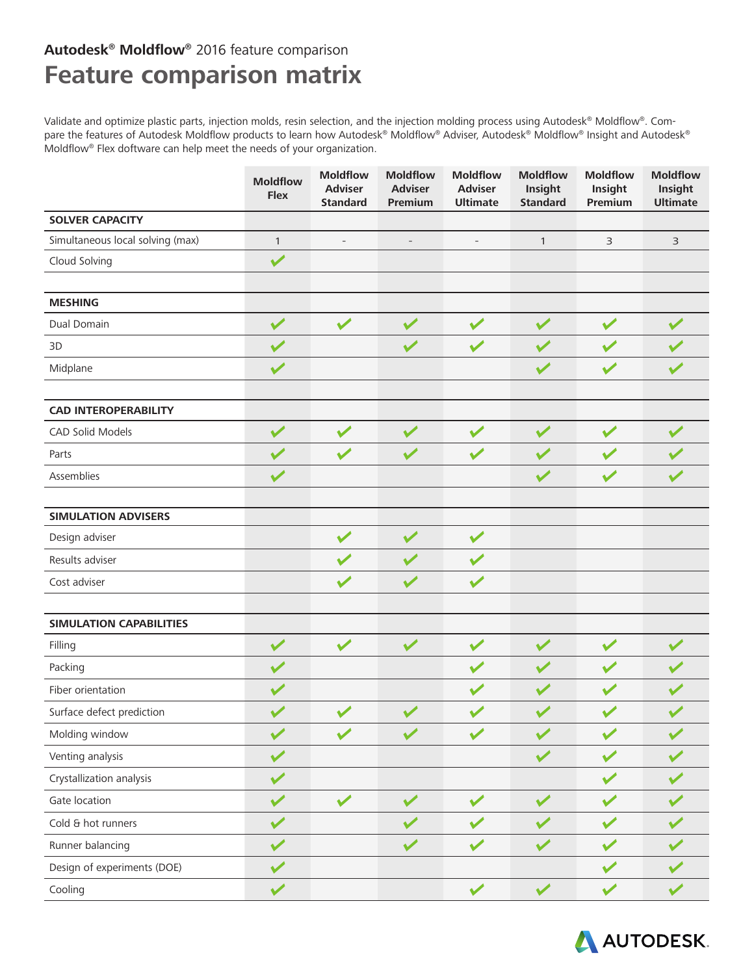## **Autodesk® Moldflow®** 2016 feature comparison **Feature comparison matrix**

Validate and optimize plastic parts, injection molds, resin selection, and the injection molding process using Autodesk® Moldflow®. Compare the features of Autodesk Moldflow products to learn how Autodesk® Moldflow® Adviser, Autodesk® Moldflow® Insight and Autodesk® Moldflow® Flex doftware can help meet the needs of your organization.

|                                  | <b>Moldflow</b><br><b>Flex</b> | <b>Moldflow</b><br><b>Adviser</b><br><b>Standard</b> | <b>Moldflow</b><br><b>Adviser</b><br>Premium | <b>Moldflow</b><br><b>Adviser</b><br><b>Ultimate</b> | <b>Moldflow</b><br>Insight<br><b>Standard</b> | <b>Moldflow</b><br>Insight<br>Premium | <b>Moldflow</b><br>Insight<br><b>Ultimate</b> |
|----------------------------------|--------------------------------|------------------------------------------------------|----------------------------------------------|------------------------------------------------------|-----------------------------------------------|---------------------------------------|-----------------------------------------------|
| <b>SOLVER CAPACITY</b>           |                                |                                                      |                                              |                                                      |                                               |                                       |                                               |
| Simultaneous local solving (max) | $\mathbf{1}$                   | $\overline{\phantom{a}}$                             | $\qquad \qquad -$                            | $\qquad \qquad -$                                    | $\mathbf{1}$                                  | 3                                     | 3                                             |
| Cloud Solving                    | $\checkmark$                   |                                                      |                                              |                                                      |                                               |                                       |                                               |
|                                  |                                |                                                      |                                              |                                                      |                                               |                                       |                                               |
| <b>MESHING</b>                   |                                |                                                      |                                              |                                                      |                                               |                                       |                                               |
| Dual Domain                      | $\checkmark$                   | $\sqrt{}$                                            | $\checkmark$                                 | $\checkmark$                                         | $\checkmark$                                  |                                       |                                               |
| 3D                               | $\checkmark$                   |                                                      | $\sqrt{}$                                    | $\checkmark$                                         | $\blacktriangledown$                          |                                       |                                               |
| Midplane                         | $\checkmark$                   |                                                      |                                              |                                                      | $\checkmark$                                  |                                       |                                               |
| <b>CAD INTEROPERABILITY</b>      |                                |                                                      |                                              |                                                      |                                               |                                       |                                               |
| CAD Solid Models                 | $\checkmark$                   | $\checkmark$                                         | $\checkmark$                                 | $\checkmark$                                         | $\checkmark$                                  | $\blacktriangledown$                  |                                               |
| Parts                            | $\checkmark$                   | $\blacktriangledown$                                 | $\checkmark$                                 | $\checkmark$                                         | $\checkmark$                                  |                                       |                                               |
| Assemblies                       | $\checkmark$                   |                                                      |                                              |                                                      | $\checkmark$                                  | $\checkmark$                          |                                               |
| <b>SIMULATION ADVISERS</b>       |                                |                                                      |                                              |                                                      |                                               |                                       |                                               |
| Design adviser                   |                                | $\checkmark$                                         | $\sqrt{}$                                    | $\sqrt{}$                                            |                                               |                                       |                                               |
| Results adviser                  |                                |                                                      |                                              |                                                      |                                               |                                       |                                               |
| Cost adviser                     |                                | $\blacktriangledown$                                 |                                              | $\sqrt{}$                                            |                                               |                                       |                                               |
| <b>SIMULATION CAPABILITIES</b>   |                                |                                                      |                                              |                                                      |                                               |                                       |                                               |
| Filling                          | $\sqrt{}$                      | $\checkmark$                                         | $\checkmark$                                 | $\sqrt{}$                                            | $\sqrt{}$                                     | $\checkmark$                          | $\sqrt{}$                                     |
| Packing                          | $\checkmark$                   |                                                      |                                              | $\sqrt{}$                                            |                                               | $\checkmark$                          |                                               |
| Fiber orientation                | $\checkmark$                   |                                                      |                                              |                                                      |                                               |                                       |                                               |
| Surface defect prediction        |                                |                                                      |                                              |                                                      |                                               |                                       |                                               |
| Molding window                   |                                |                                                      |                                              |                                                      |                                               |                                       |                                               |
| Venting analysis                 | $\checkmark$                   |                                                      |                                              |                                                      |                                               |                                       |                                               |
| Crystallization analysis         | $\checkmark$                   |                                                      |                                              |                                                      |                                               |                                       |                                               |
| Gate location                    | $\checkmark$                   | $\blacktriangleright$                                | $\checkmark$                                 | $\sqrt{}$                                            |                                               |                                       |                                               |
| Cold & hot runners               | $\checkmark$                   |                                                      |                                              |                                                      |                                               |                                       |                                               |
| Runner balancing                 | $\blacktriangledown$           |                                                      |                                              |                                                      |                                               |                                       |                                               |
| Design of experiments (DOE)      |                                |                                                      |                                              |                                                      |                                               |                                       |                                               |
| Cooling                          | $\checkmark$                   |                                                      |                                              | $\checkmark$                                         | $\checkmark$                                  |                                       |                                               |

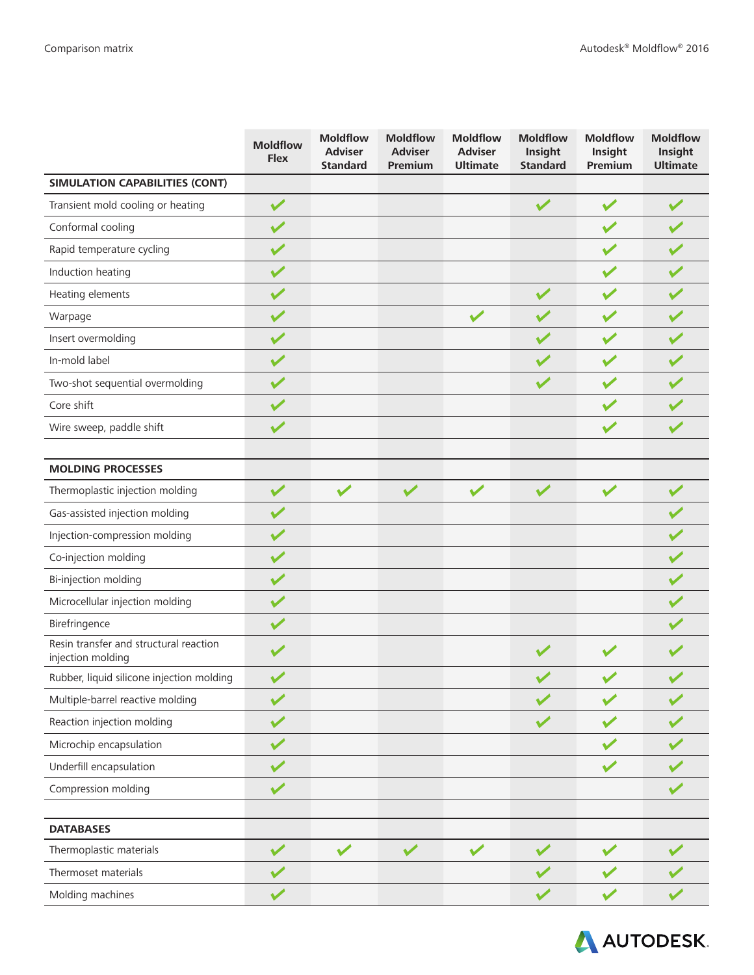|                                                             | <b>Moldflow</b><br><b>Flex</b> | <b>Moldflow</b><br><b>Adviser</b><br><b>Standard</b> | <b>Moldflow</b><br><b>Adviser</b><br>Premium | <b>Moldflow</b><br><b>Adviser</b><br><b>Ultimate</b> | <b>Moldflow</b><br>Insight<br><b>Standard</b> | <b>Moldflow</b><br>Insight<br>Premium | <b>Moldflow</b><br>Insight<br><b>Ultimate</b> |
|-------------------------------------------------------------|--------------------------------|------------------------------------------------------|----------------------------------------------|------------------------------------------------------|-----------------------------------------------|---------------------------------------|-----------------------------------------------|
| SIMULATION CAPABILITIES (CONT)                              |                                |                                                      |                                              |                                                      |                                               |                                       |                                               |
| Transient mold cooling or heating                           | $\checkmark$                   |                                                      |                                              |                                                      | $\checkmark$                                  | $\checkmark$                          | $\checkmark$                                  |
| Conformal cooling                                           | $\checkmark$                   |                                                      |                                              |                                                      |                                               | $\blacktriangleright$                 |                                               |
| Rapid temperature cycling                                   | $\blacktriangledown$           |                                                      |                                              |                                                      |                                               |                                       |                                               |
| Induction heating                                           | $\blacktriangledown$           |                                                      |                                              |                                                      |                                               | $\blacktriangledown$                  |                                               |
| Heating elements                                            | $\blacktriangledown$           |                                                      |                                              |                                                      | $\sqrt{}$                                     | $\checkmark$                          |                                               |
| Warpage                                                     | $\blacktriangledown$           |                                                      |                                              | $\sqrt{}$                                            |                                               | $\blacktriangledown$                  |                                               |
| Insert overmolding                                          | $\sqrt{}$                      |                                                      |                                              |                                                      | $\checkmark$                                  | $\checkmark$                          |                                               |
| In-mold label                                               | $\checkmark$                   |                                                      |                                              |                                                      |                                               | $\checkmark$                          |                                               |
| Two-shot sequential overmolding                             | $\checkmark$                   |                                                      |                                              |                                                      | $\checkmark$                                  | $\checkmark$                          |                                               |
| Core shift                                                  | $\checkmark$                   |                                                      |                                              |                                                      |                                               | $\blacktriangleright$                 |                                               |
| Wire sweep, paddle shift                                    | $\checkmark$                   |                                                      |                                              |                                                      |                                               | $\blacktriangledown$                  | $\blacktriangledown$                          |
|                                                             |                                |                                                      |                                              |                                                      |                                               |                                       |                                               |
| <b>MOLDING PROCESSES</b>                                    |                                |                                                      |                                              |                                                      |                                               |                                       |                                               |
| Thermoplastic injection molding                             | $\sqrt{}$                      | $\checkmark$                                         | $\sqrt{}$                                    | $\sqrt{}$                                            | $\vee$                                        | $\checkmark$                          | $\checkmark$                                  |
| Gas-assisted injection molding                              | $\sqrt{}$                      |                                                      |                                              |                                                      |                                               |                                       |                                               |
| Injection-compression molding                               | $\checkmark$                   |                                                      |                                              |                                                      |                                               |                                       |                                               |
| Co-injection molding                                        | $\checkmark$                   |                                                      |                                              |                                                      |                                               |                                       |                                               |
| Bi-injection molding                                        | $\checkmark$                   |                                                      |                                              |                                                      |                                               |                                       | $\blacktriangledown$                          |
| Microcellular injection molding                             | $\sqrt{}$                      |                                                      |                                              |                                                      |                                               |                                       |                                               |
| Birefringence                                               | $\blacktriangledown$           |                                                      |                                              |                                                      |                                               |                                       |                                               |
| Resin transfer and structural reaction<br>injection molding |                                |                                                      |                                              |                                                      |                                               |                                       |                                               |
| Rubber, liquid silicone injection molding                   |                                |                                                      |                                              |                                                      |                                               |                                       |                                               |
| Multiple-barrel reactive molding                            |                                |                                                      |                                              |                                                      |                                               |                                       |                                               |
| Reaction injection molding                                  |                                |                                                      |                                              |                                                      |                                               |                                       |                                               |
| Microchip encapsulation                                     |                                |                                                      |                                              |                                                      |                                               |                                       |                                               |
| Underfill encapsulation                                     |                                |                                                      |                                              |                                                      |                                               |                                       |                                               |
| Compression molding                                         | $\checkmark$                   |                                                      |                                              |                                                      |                                               |                                       |                                               |
|                                                             |                                |                                                      |                                              |                                                      |                                               |                                       |                                               |
| <b>DATABASES</b>                                            |                                |                                                      |                                              |                                                      |                                               |                                       |                                               |
| Thermoplastic materials                                     | $\sqrt{}$                      |                                                      |                                              | $\checkmark$                                         |                                               |                                       |                                               |
| Thermoset materials                                         |                                |                                                      |                                              |                                                      |                                               |                                       |                                               |
| Molding machines                                            |                                |                                                      |                                              |                                                      |                                               |                                       |                                               |